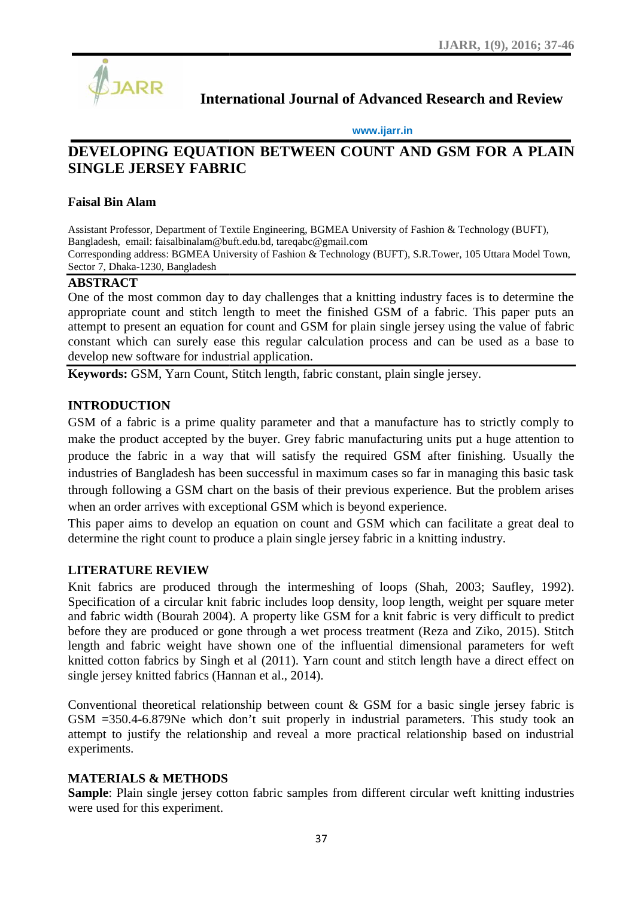

## **International Journal of Advanced Research and Review**

#### **www.ijarr.in www.ijarr.in**

# DEVELOPING EQUATION BETWEEN COUNT AND GSM FOR A PLAIN<br>SINGLE JERSEY FABRIC **SINGLE JERSEY FABRIC**

## **Faisal Bin Alam Faisal Bin Alam**

Assistant Professor, Department of Textile Engineering, BGMEA University of Fashion & Technology (BUFT), Bangladesh, email: faisalbinalam@buft.edu.bd, tareqabc@gmail.com Assistant Professor, Department of Textile Engineering, BGMEA University of Fashion & Technology (BUFT),<br>Bangladesh, email: faisalbinalam@buft.edu.bd, tareqabc@gmail.com<br>Corresponding address: BGMEA University of Fashion Sector 7, Dhaka-1230, Bangladesh

#### **ABSTRACT**

One of the most common day to day challenges that a knitting industry faces is to determine the appropriate count and stitch length to meet the finished GSM of a fabric. This paper puts an One of the most common day to day challenges that a knitting industry faces is to determine the appropriate count and stitch length to meet the finished GSM of a fabric. This paper puts an attempt to present an equation fo constant which can surely ease this regular calculation process and can be used as a base to develop new software for industrial application.

**Keywords:** GSM, Yarn Count, Stitch length, fabric constant, plain single jersey.

## **INTRODUCTION**

GSM of a fabric is a prime quality parameter and that a manufacture has to strictly comply to make the product accepted by the buyer. Grey fabric manufacturing units put a huge attention to produce the fabric in a way that will satisfy the required GSM after finishing. Usually the industries of Bangladesh has been successful in maximum cases so far in managing this basic task through following a GSM chart on the basis of their previous experience. But the problem arises when an order arrives with exceptional GSM which is beyond experience. constant which can surely ease this regular calculation process and can be used as a base to<br>develop new software for industrial application.<br>**Keywords:** GSM, Yarn Count, Stitch length, fabric constant, plain single jersey ease this regular calculation process and can be use<br>ddustrial application.<br>unt, Stitch length, fabric constant, plain single jersey.<br>he quality parameter and that a manufacture has to stri<br>by the buyer. Grey fabric manufa

This paper aims to develop an equation on count and GSM which can facilitate a great deal to determine the right count to produce a plain single jersey fabric in a knitting industry. wes with exceptional GSM which is beyond experience.<br>
2 develop an equation on count and GSM which can facilitate a great deal to<br>
1 count to produce a plain single jersey fabric in a knitting industry.<br>
2003; Saufley, 199

#### **LITERATURE REVIEW**

Knit fabrics are produced through the intermeshing of loops (Shah, 2003; Saufley, 1992). Specification of a circular knit fabric includes loop density, loop length, weight per square meter and fabric width (Bourah 2004). A property like GSM for a knit fabric is very difficult to predict before they are produced or gone through a wet process treatment (Reza and Ziko, 2015). Stitch length and fabric weight have shown one of the influential dimensional parameters for weft knitted cotton fabrics by Singh et al (2011). Yarn count and stitch length have a direct effect on single jersey knitted fabrics (Hannan et al., 2014). and fabric width (Bourah 2004). A property like GSM for a knit fabric is very difficult to predict<br>before they are produced or gone through a wet process treatment (Reza and Ziko, 2015). Stitch<br>length and fabric weight hav

Conventional theoretical relationship between count  $\&$  GSM for a basic single jersey fabric is GSM =350.4-6.879Ne which don't suit properly in industrial parameters. This study took an attempt to justify the relationship and reveal a more practical relationship based on industrial experiments. GSM =350.4-6.879Ne which don't suit properly in industrial parameters. This study took attempt to justify the relationship and reveal a more practical relationship based on industriexperiments.

## **MATERIALS & METHODS & METHODS**

**Sample**: Plain single jersey cotton fabric samples from different circular weft knitting industries were used for this experiment. were used for this experiment.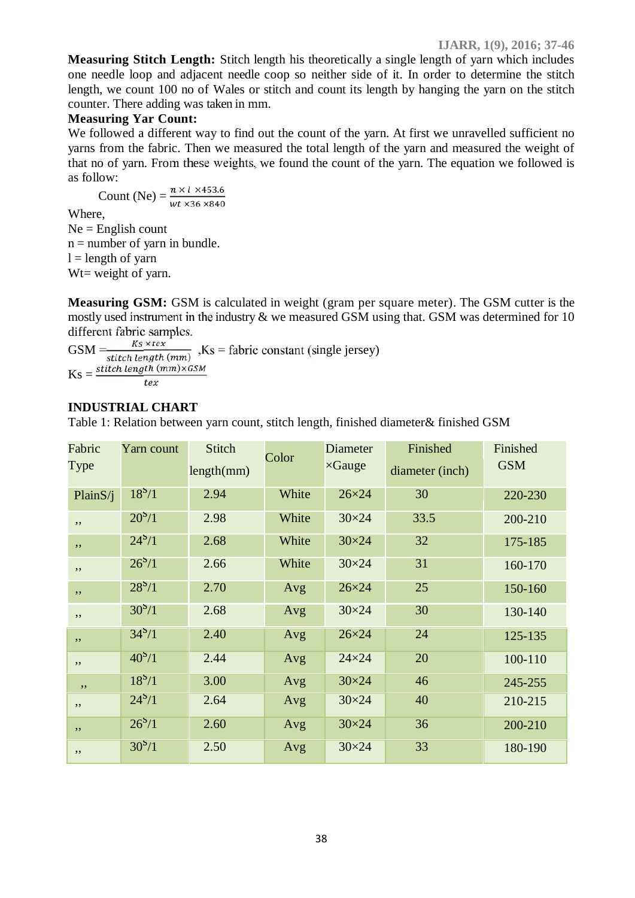**Measuring Stitch Length:** Stitch length his theoretically a single length of yarn which includes one needle loop and adjacent needle coop so neither side of it. In order to determine the stitch length, we count 100 no of Wales or stitch and count its length by hanging the yarn on the stitch counter. There adding was taken in mm.

#### **Measuring Yar Count:**

We followed a different way to find out the count of the yarn. At first we unravelled sufficient no yarns from the fabric. Then we measured the total length of the yarn and measured the weight of that no of yarn. From these weights, we found the count of the yarn. The equation we followed is as follow:

Count (Ne) =  $\frac{n \times l \times 453.6}{wt \times 36 \times 840}$ Where,  $Ne =$  English count  $n =$  number of yarn in bundle.  $l =$  length of yarn W<sub>t=</sub> weight of yarn.

**Measuring GSM:** GSM is calculated in weight (gram per square meter). The GSM cutter is the mostly used instrument in the industry & we measured GSM using that. GSM was determined for 10 different fabric samples.

 $GSM = \frac{Ks \times Iex}{\text{stitch length}(mm)}$ , Ks = fabric constant (single jersey)  $\text{Ks} = \frac{\text{stitch length (mm)} \times \text{GSM}}{\text{tex}}$ 

## **INDUSTRIAL CHART**

Table 1: Relation between yarn count, stitch length, finished diameter& finished GSM

| Fabric<br>Type | Yarn count         | Stitch<br>length(mm) | Color | <b>Diameter</b><br>$\times$ Gauge | Finished<br>diameter (inch) | Finished<br><b>GSM</b> |  |
|----------------|--------------------|----------------------|-------|-----------------------------------|-----------------------------|------------------------|--|
| Plain $S/i$    | $18^{5}/1$         | 2.94                 | White | $26\times24$                      | 30                          | 220-230                |  |
| $, \,$         | $20^{8}/1$         | 2.98                 | White | $30\times24$                      | 33.5                        | 200-210                |  |
| $, \,$         | $24^{s}/1$         | 2.68                 | White | $30\times24$                      | 32                          | 175-185                |  |
| $, \,$         | $26^{8}/1$         | 2.66                 | White | $30\times24$                      | 31                          | 160-170                |  |
| , ,            | $28^{5}/1$         | 2.70                 | Avg   | $26\times24$                      | 25                          | 150-160                |  |
| $, \,$         | $30^{5}/1$         | 2.68                 | Avg   | $30\times24$                      | 30                          | 130-140                |  |
| , ,            | $34^{8}/1$         | 2.40                 | Avg   | $26\times24$                      | 24                          | 125-135                |  |
| $, \,$         | $40^{8}/1$         | 2.44                 | Avg   | $24\times24$                      | 20                          | 100-110                |  |
| $, \,$         | 18 <sup>5</sup> /1 | 3.00                 | Avg   | $30\times24$                      | 46                          | 245-255                |  |
| $, \,$         | $24^{8}/1$         | 2.64                 | Avg   | $30\times24$                      | 40                          | 210-215                |  |
| , ,            | $26^{8}/1$         | 2.60                 | Avg   | $30\times24$                      | 36                          | 200-210                |  |
| , ,            | $30^{8}/1$         | 2.50                 | Avg   | $30\times24$                      | 33                          | 180-190                |  |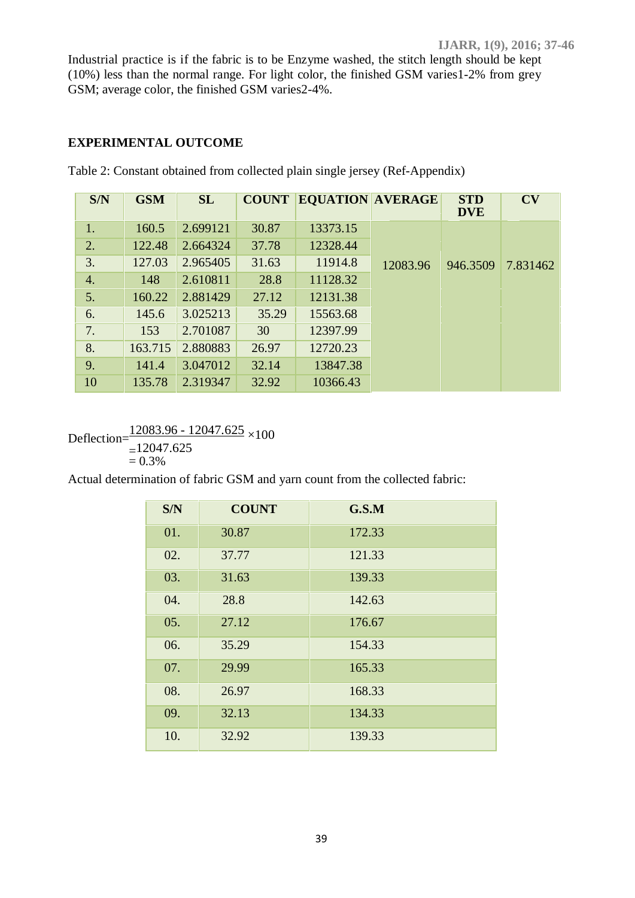Industrial practice is if the fabric is to be Enzyme washed, the stitch length should be kept (10%) less than the normal range. For light color, the finished GSM varies1-2% from grey GSM; average color, the finished GSM varies2-4%.

## **EXPERIMENTAL OUTCOME**

| S/N              | <b>GSM</b> | SL       | <b>COUNT</b> | <b>EQUATION AVERAGE</b> |          | <b>STD</b><br><b>DVE</b> | CV       |
|------------------|------------|----------|--------------|-------------------------|----------|--------------------------|----------|
| 1.               | 160.5      | 2.699121 | 30.87        | 13373.15                |          |                          |          |
| 2.               | 122.48     | 2.664324 | 37.78        | 12328.44                |          |                          |          |
| 3.               | 127.03     | 2.965405 | 31.63        | 11914.8                 | 12083.96 | 946.3509                 | 7.831462 |
| $\overline{4}$ . | 148        | 2.610811 | 28.8         | 11128.32                |          |                          |          |
| 5.               | 160.22     | 2.881429 | 27.12        | 12131.38                |          |                          |          |
| 6.               | 145.6      | 3.025213 | 35.29        | 15563.68                |          |                          |          |
| 7.               | 153        | 2.701087 | 30           | 12397.99                |          |                          |          |
| 8.               | 163.715    | 2.880883 | 26.97        | 12720.23                |          |                          |          |
| 9.               | 141.4      | 3.047012 | 32.14        | 13847.38                |          |                          |          |
| 10               | 135.78     | 2.319347 | 32.92        | 10366.43                |          |                          |          |

Table 2: Constant obtained from collected plain single jersey (Ref-Appendix)

Deflection= $\frac{12083.96 - 12047.625}{=12047.625}$  × 100<br>= 0.3%

Actual determination of fabric GSM and yarn count from the collected fabric:

| S/N | <b>COUNT</b> | G.S.M  |
|-----|--------------|--------|
| 01. | 30.87        | 172.33 |
| 02. | 37.77        | 121.33 |
| 03. | 31.63        | 139.33 |
| 04. | 28.8         | 142.63 |
| 05. | 27.12        | 176.67 |
| 06. | 35.29        | 154.33 |
| 07. | 29.99        | 165.33 |
| 08. | 26.97        | 168.33 |
| 09. | 32.13        | 134.33 |
| 10. | 32.92        | 139.33 |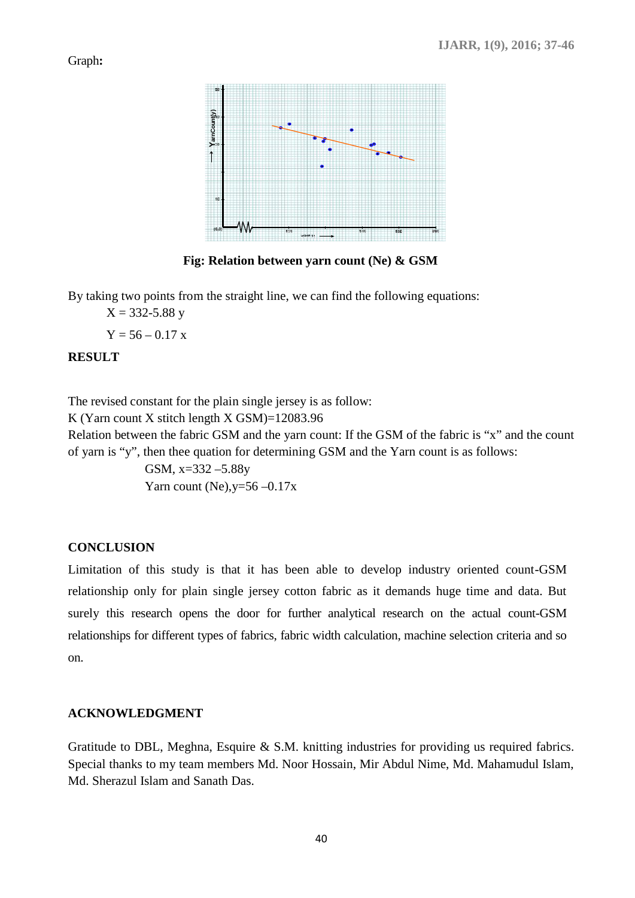Graph**:**



**Fig: Relation between yarn count (Ne) & GSM**

By taking two points from the straight line, we can find the following equations:

 $X = 332 - 5.88$  y

 $Y = 56 - 0.17$  x

#### **RESULT**

The revised constant for the plain single jersey is as follow:

K (Yarn count X stitch length X GSM)=12083.96

Relation between the fabric GSM and the yarn count: If the GSM of the fabric is "x" and the count of yarn is "y", then thee quation for determining GSM and the Yarn count is as follows:

> GSM, x=332 –5.88y Yarn count (Ne),  $v=56-0.17x$

## **CONCLUSION**

Limitation of this study is that it has been able to develop industry oriented count-GSM relationship only for plain single jersey cotton fabric as it demands huge time and data. But surely this research opens the door for further analytical research on the actual count-GSM relationships for different types of fabrics, fabric width calculation, machine selection criteria and so on.

#### **ACKNOWLEDGMENT**

Gratitude to DBL, Meghna, Esquire & S.M. knitting industries for providing us required fabrics. Special thanks to my team members Md. Noor Hossain, Mir Abdul Nime, Md. Mahamudul Islam, Md. Sherazul Islam and Sanath Das.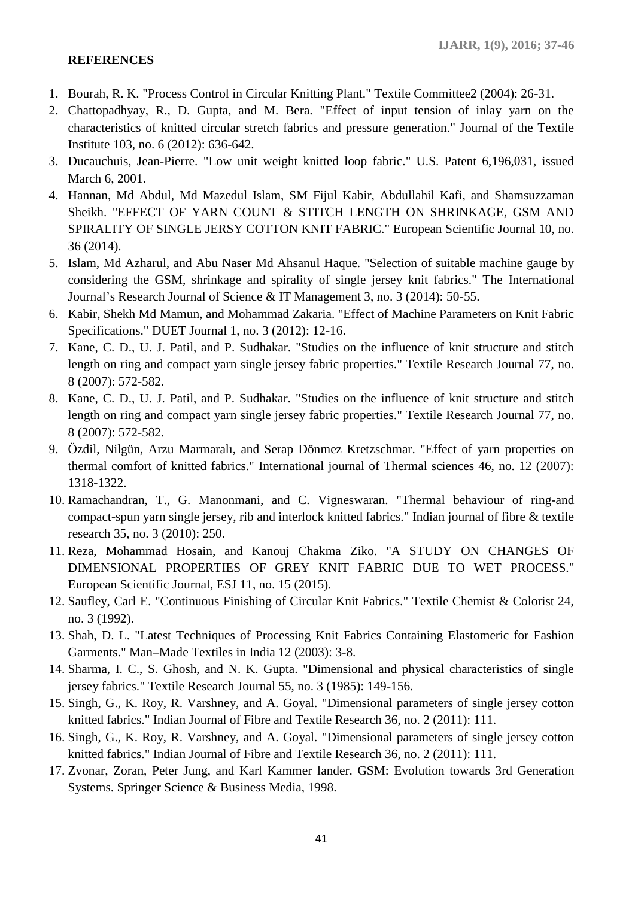## **REFERENCES**

- 1. Bourah, R. K. "Process Control in Circular Knitting Plant." Textile Committee2 (2004): 26-31.
- 2. Chattopadhyay, R., D. Gupta, and M. Bera. "Effect of input tension of inlay yarn on the characteristics of knitted circular stretch fabrics and pressure generation." Journal of the Textile Institute 103, no. 6 (2012): 636-642.
- 3. Ducauchuis, Jean-Pierre. "Low unit weight knitted loop fabric." U.S. Patent 6,196,031, issued March 6, 2001.
- 4. Hannan, Md Abdul, Md Mazedul Islam, SM Fijul Kabir, Abdullahil Kafi, and Shamsuzzaman Sheikh. "EFFECT OF YARN COUNT & STITCH LENGTH ON SHRINKAGE, GSM AND SPIRALITY OF SINGLE JERSY COTTON KNIT FABRIC." European Scientific Journal 10, no. 36 (2014).
- 5. Islam, Md Azharul, and Abu Naser Md Ahsanul Haque. "Selection of suitable machine gauge by considering the GSM, shrinkage and spirality of single jersey knit fabrics." The International Journal's Research Journal of Science & IT Management 3, no. 3 (2014): 50-55.
- 6. Kabir, Shekh Md Mamun, and Mohammad Zakaria. "Effect of Machine Parameters on Knit Fabric Specifications." DUET Journal 1, no. 3 (2012): 12-16.
- 7. Kane, C. D., U. J. Patil, and P. Sudhakar. "Studies on the influence of knit structure and stitch length on ring and compact yarn single jersey fabric properties." Textile Research Journal 77, no. 8 (2007): 572-582.
- 8. Kane, C. D., U. J. Patil, and P. Sudhakar. "Studies on the influence of knit structure and stitch length on ring and compact yarn single jersey fabric properties." Textile Research Journal 77, no. 8 (2007): 572-582.
- 9. Özdil, Nilgün, Arzu Marmaralı, and Serap Dönmez Kretzschmar. "Effect of yarn properties on thermal comfort of knitted fabrics." International journal of Thermal sciences 46, no. 12 (2007): 1318-1322.
- 10. Ramachandran, T., G. Manonmani, and C. Vigneswaran. "Thermal behaviour of ring-and compact-spun yarn single jersey, rib and interlock knitted fabrics." Indian journal of fibre & textile research 35, no. 3 (2010): 250.
- 11. Reza, Mohammad Hosain, and Kanouj Chakma Ziko. "A STUDY ON CHANGES OF DIMENSIONAL PROPERTIES OF GREY KNIT FABRIC DUE TO WET PROCESS." European Scientific Journal, ESJ 11, no. 15 (2015).
- 12. Saufley, Carl E. "Continuous Finishing of Circular Knit Fabrics." Textile Chemist & Colorist 24, no. 3 (1992).
- 13. Shah, D. L. "Latest Techniques of Processing Knit Fabrics Containing Elastomeric for Fashion Garments." Man–Made Textiles in India 12 (2003): 3-8.
- 14. Sharma, I. C., S. Ghosh, and N. K. Gupta. "Dimensional and physical characteristics of single jersey fabrics." Textile Research Journal 55, no. 3 (1985): 149-156.
- 15. Singh, G., K. Roy, R. Varshney, and A. Goyal. "Dimensional parameters of single jersey cotton knitted fabrics." Indian Journal of Fibre and Textile Research 36, no. 2 (2011): 111.
- 16. Singh, G., K. Roy, R. Varshney, and A. Goyal. "Dimensional parameters of single jersey cotton knitted fabrics." Indian Journal of Fibre and Textile Research 36, no. 2 (2011): 111.
- 17. Zvonar, Zoran, Peter Jung, and Karl Kammer lander. GSM: Evolution towards 3rd Generation Systems. Springer Science & Business Media, 1998.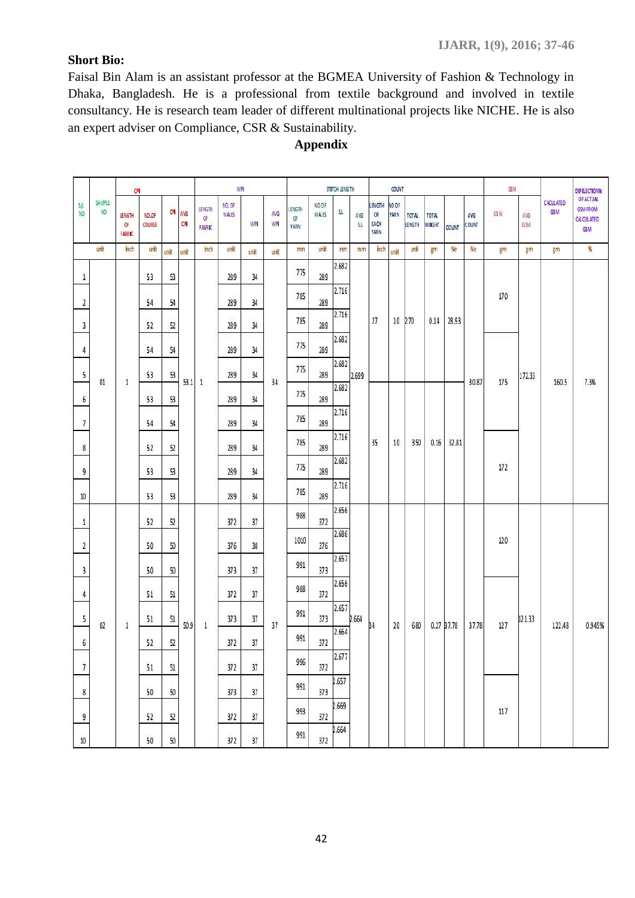## **Short Bio:**

Faisal Bin Alam is an assistant professor at the BGMEA University of Fashion & Technology in Dhaka, Bangladesh. He is a professional from textile background and involved in textile consultancy. He is research team leader of different multinational projects like NICHE. He is also an expert adviser on Compliance, CSR & Sustainability.

|                       |              | <b>CFI</b>            |                 |        |               |                                | WPI             |      |            |                     |                | STITCH LENGTH |           |                                    | COUNT                |                 |                 |            |              | GSM  |            |                                | DEFELECTION %                                                   |
|-----------------------|--------------|-----------------------|-----------------|--------|---------------|--------------------------------|-----------------|------|------------|---------------------|----------------|---------------|-----------|------------------------------------|----------------------|-----------------|-----------------|------------|--------------|------|------------|--------------------------------|-----------------------------------------------------------------|
| SΛ<br>NO <sub>1</sub> | SAMPLE<br>NO | LENGTH<br>œ<br>FABRIC | NO.OF<br>COURSE |        | CPI AVG<br>CR | <b>LENGTH</b><br>OF.<br>FABRIC | NO. OF<br>WALES | WP   | AVG<br>WPI | LENGTH<br>Œ<br>YARN | NO OF<br>WALES | ZT.           | AVG<br>51 | LENGTH<br>Œ<br>EACH<br><b>YARN</b> | NO OF<br><b>YARN</b> | TOTAL<br>LENGTH | TOTAL<br>WEIGHT | COUNT      | AVG<br>COUNT | GS M | AVG<br>GSM | <b>CACULATED</b><br><b>GSM</b> | <b>OF ACTUAL</b><br><b>GSM FROM</b><br><b>CALCULATED</b><br>GSM |
|                       | unit         | inch.                 | unit            | unit   | unit          | inch.                          | unit            | unit | unit       | mm                  | unit           | mm            | mm        | inch                               | unit                 | unit            | gm              | Ne         | Ne           | gm   | gm         | $g$ m                          | %                                                               |
| $\mathbf{1}$          |              |                       | 53              | 53     |               |                                | 289             | 34   |            | 775                 | 289            | 2.682         |           |                                    |                      |                 |                 |            |              |      |            |                                |                                                                 |
| $\overline{2}$        |              |                       | 54              | 54     |               |                                | 289             | 34   |            | 785                 | 289            | 2.716         |           |                                    |                      |                 |                 |            |              | 170  |            |                                |                                                                 |
| 3                     |              |                       | 52              | 52     |               |                                | 289             | 34   |            | 785                 | 289            | 2.716         |           | 27                                 | 10                   | 270             | 0.14            | 28.93      |              |      |            |                                |                                                                 |
| 4                     |              |                       | 54              | 54     |               |                                | 289             | 34   |            | 775                 | 289            | 2.682         |           |                                    |                      |                 |                 |            |              |      |            |                                |                                                                 |
| 5                     |              |                       | 53              | 53     |               |                                | 289             | 34   |            | 775                 | 289            | 2.682         | 2.699     |                                    |                      |                 |                 |            |              |      | 172.33     |                                |                                                                 |
| 6                     | 01           | 1                     | 53              | 53     | 53.1          | 1                              | 289             | 34   | 34         | 775                 | 289            | 2.682         |           |                                    |                      |                 |                 |            | 30.87        | 175  |            | 160.5                          | 7.3%                                                            |
| 7                     |              |                       | 54              | 54     |               |                                | 289             | 34   |            | 785                 | 289            | 2.716         |           |                                    |                      |                 |                 |            |              |      |            |                                |                                                                 |
| 8                     |              |                       | 52              | 52     |               |                                | 289             | 34   |            | 785                 | 289            | 2.716         |           | 35                                 | 10                   | 350             | 0.16            | 32.81      |              |      |            |                                |                                                                 |
| 9                     |              |                       | 53              | 53     |               |                                | 289             | 34   |            | 775                 | 289            | 2.682         |           |                                    |                      |                 |                 |            |              | 172  |            |                                |                                                                 |
|                       |              |                       |                 |        |               |                                |                 |      |            | 785                 |                | 2.716         |           |                                    |                      |                 |                 |            |              |      |            |                                |                                                                 |
| 10                    |              |                       | 53              | 53     |               |                                | 289             | 34   |            | 988                 | 289            | 2.656         |           |                                    |                      |                 |                 |            |              |      |            |                                |                                                                 |
| 1                     |              |                       | 52              | 52     |               |                                | 372             | 37   |            |                     | 372            | 2.686         |           |                                    |                      |                 |                 |            |              |      |            |                                |                                                                 |
| 2                     |              |                       | 50              | 50     |               |                                | 376             | 38   |            | 1010                | 376            | 2.657         |           |                                    |                      |                 |                 |            |              | 120  |            |                                |                                                                 |
| 3                     |              |                       | 50              | 50     |               |                                | 373             | 37   |            | 991                 | 373            |               |           |                                    |                      |                 |                 |            |              |      |            |                                |                                                                 |
| 4                     |              |                       | 51              | 51     |               |                                | 372             | 37   |            | 988                 | 372            | 2.656         |           |                                    |                      |                 |                 |            |              |      |            |                                |                                                                 |
| 5                     | 02           | $\mathbf{1}$          | 51              | 51     | 50.9          | $\mathbf{1}$                   | 373             | 37   | 37         | 991                 | 373            | 2.657         | 2.664     | <b>B4</b>                          | 20                   | 680             |                 | 0.27 B7.78 | 37.78        | 127  | 121.33     | 122.48                         | 0.945%                                                          |
| 6                     |              |                       | 52              | 52     |               |                                | 372             | 37   |            | 991                 | 372            | 2.664         |           |                                    |                      |                 |                 |            |              |      |            |                                |                                                                 |
| 7                     |              |                       | 51              | $51\,$ |               |                                | 372             | 37   |            | 996                 | 372            | 2.677         |           |                                    |                      |                 |                 |            |              |      |            |                                |                                                                 |
| 8                     |              |                       | 50              | $50\,$ |               |                                | 373             | 37   |            | 991                 | 373            | 2.657         |           |                                    |                      |                 |                 |            |              |      |            |                                |                                                                 |
| 9                     |              |                       | 52              | 52     |               |                                | 372             | 37   |            | 993                 | 372            | 2.669         |           |                                    |                      |                 |                 |            |              | 117  |            |                                |                                                                 |
| $10\,$                |              |                       | 50              | $50\,$ |               |                                | 372             | 37   |            | 991                 | 372            | 2.664         |           |                                    |                      |                 |                 |            |              |      |            |                                |                                                                 |

# **Appendix**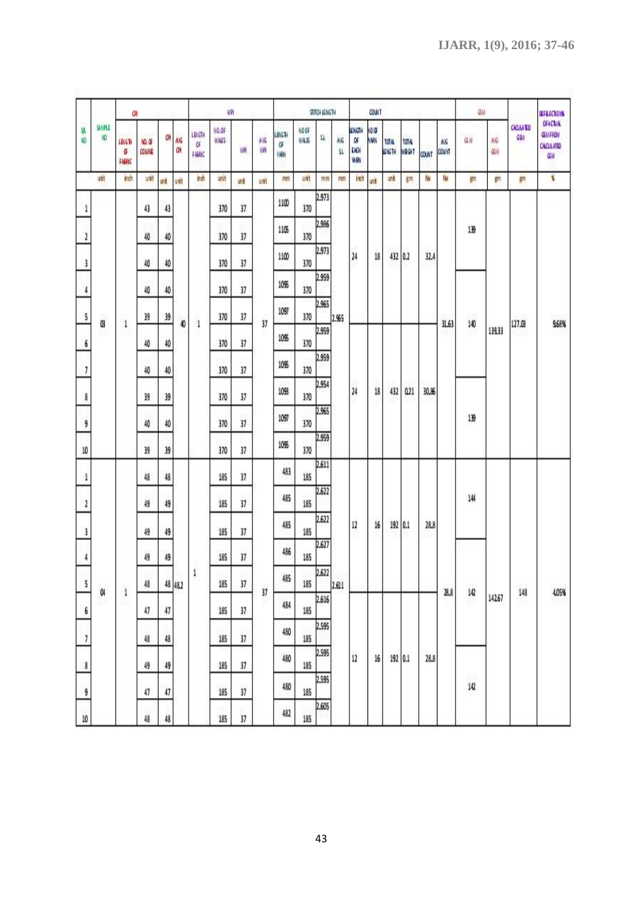|                    |              | ŒЙ                    |                          |          |          |                         | WPI            |          |            |                            |             | <b>HIGHLANGTH</b> |           |                                   | <b>COULT</b> |                              |                              |       |                     | GW.        |                 |                         | <b>OFFICERIONS</b>                                                  |
|--------------------|--------------|-----------------------|--------------------------|----------|----------|-------------------------|----------------|----------|------------|----------------------------|-------------|-------------------|-----------|-----------------------------------|--------------|------------------------------|------------------------------|-------|---------------------|------------|-----------------|-------------------------|---------------------------------------------------------------------|
| şL<br>KD           | SAMPLE<br>١O | LONGTH<br>σ<br>FAGGIC | 10. G<br>COURSE          | Ű.       | NG<br>ŒИ | លោម<br>ű۶<br><b>MAC</b> | NO.0F<br>WALES | WR       | ٨VG<br>WPI | LINGTH<br>Œ<br><b>YARN</b> | NOOF<br>WAG | 51                | NG.<br>sı | <b>KINGTH</b><br>α<br>EACH<br>WRY | io ar<br>W   | <b>TOTAL</b><br><b>4161H</b> | <b>TOTAL</b><br><b>WRGHT</b> | COUNT | <b>MVG</b><br>could | G M        | NG<br><b>GM</b> | <b>CAOJIA TO</b><br>GSM | <b>CFACTUAL</b><br><b>GENFRON</b><br><b>CALCULATED</b><br><b>GM</b> |
|                    | unit         | inch                  | unit                     | unit     | unit     | indi                    | unit           | unit     | unit       | mm                         | unit        | mm                | mm        | inch                              | unit         | unit.                        | ĶΜ                           | No    | No                  | (FT)       | ijπ             | lμπ                     | ¥                                                                   |
| 1                  |              |                       | 43                       | 43       |          |                         | 370            | 37       |            | 1100                       | 370         | 2.973             |           |                                   |              |                              |                              |       |                     |            |                 |                         |                                                                     |
| $\mathbf{r}$       |              |                       | $40\,$                   | 40       |          |                         | 370            | 37       |            | 1105                       | 370         | 2.986             |           |                                   |              |                              |                              |       |                     | 139        |                 |                         |                                                                     |
| 3                  |              |                       | $40\,$                   | 40       |          |                         | 370            | 37       |            | 1100                       | 370         | 2.973             |           | 24                                | 18           |                              | 432 0.2                      | 32.4  |                     |            |                 |                         |                                                                     |
| 4                  |              |                       | 40                       | 40       |          |                         | 370            | 37       |            | 10%                        | 370         | 2.959             |           |                                   |              |                              |                              |       |                     |            |                 |                         |                                                                     |
| s                  |              |                       | 39                       | 39       |          |                         | 370            | 37       |            | 1097                       | 370         | 2.965             | 1.965     |                                   |              |                              |                              |       |                     | wa         |                 |                         |                                                                     |
| 6                  | œ            | 1                     | 40                       | 40       | 40       | 1                       | 370            | 37       | 37         | 10%                        | 370         | 2.959             |           |                                   |              |                              |                              |       | 31.63               | 140        | 139.33          | 127.08                  | 968%                                                                |
| 7                  |              |                       | 40                       | 40       |          |                         | 370            | 37       |            | 10%                        | 370         | 2.959             |           |                                   |              |                              |                              |       |                     |            |                 |                         |                                                                     |
| 8                  |              |                       | 39                       | 39       |          |                         | 370            | 37       |            | 1093                       | 370         | 2.954             |           | $^{24}$                           | 18           | 432                          | 0.21                         | 30.36 |                     |            |                 |                         |                                                                     |
| 9                  |              |                       | $40$                     | 40       |          |                         | 370            | 37       |            | 1097                       | 370         | 2.965             |           |                                   |              |                              |                              |       |                     | 139        |                 |                         |                                                                     |
| $10\,$             |              |                       | 39                       | 39       |          |                         | 370            | 37       |            | 10%                        | 370         | 2.959             |           |                                   |              |                              |                              |       |                     |            |                 |                         |                                                                     |
| 4                  |              |                       | 48                       | 48       |          |                         | 185            | 37       |            | 483                        | 185         | 2.611             |           |                                   |              |                              |                              |       |                     |            |                 |                         |                                                                     |
| $\mathbf{I}$       |              |                       | 49                       | 49       |          |                         | 185            | 37       |            | 485                        | 185         | 2.622             |           |                                   |              |                              |                              |       |                     | 144        |                 |                         |                                                                     |
|                    |              |                       |                          |          |          |                         | 185            |          |            | 485                        | 185         | 2,622             |           | $\frac{1}{2}$                     | 16           |                              | 192 0.1                      | 28.8  |                     |            |                 |                         |                                                                     |
| 3<br>$\frac{1}{2}$ |              |                       | 49<br>49                 | 49<br>49 |          |                         | 185            | 37<br>37 |            | 486                        | 185         | 2.627             |           |                                   |              |                              |                              |       |                     |            |                 |                         |                                                                     |
|                    |              |                       |                          |          |          | $\,1\,$                 | 185            |          |            | 485                        | 185         | 2.622             |           |                                   |              |                              |                              |       |                     |            |                 |                         |                                                                     |
| 5                  | O<br>89      | $\mathbf i$<br>-39    | 48                       |          | 48 482   |                         |                | 37       | 37<br>W.   | 484                        |             | 2.616             | 2.611     |                                   |              |                              |                              |       | 28.8                | 142<br>156 | 142.67          | 148<br>w                | 4.05%                                                               |
| 6                  |              |                       | 47                       | $47\,$   |          |                         | 185            | 37       |            | 480                        | 185         | 2.595             |           |                                   |              |                              |                              |       |                     |            |                 |                         |                                                                     |
| $\overline{\iota}$ |              |                       | $48\,$<br>48<br>49<br>49 |          |          |                         | 185            | 37       |            | 480                        | 185         | 2.595             |           |                                   | $16\,$       |                              | 192 0.1                      | 28.8  |                     |            |                 |                         |                                                                     |
| $\bf 8$            |              |                       |                          |          |          | 185                     | 37             |          |            | 185                        | 2.595       |                   | $12\,$    |                                   |              |                              |                              |       | 98                  |            |                 |                         |                                                                     |
| 9                  |              |                       | 47                       | 47       |          |                         | 185<br>W       | 37       |            | 480                        | 185         | 2.605             |           |                                   |              |                              |                              |       |                     | $142\,$    |                 |                         |                                                                     |
| $10\,$             |              |                       | 48                       | 48       |          |                         | 185            | 37       |            | 482                        | 185         |                   |           |                                   |              |                              |                              |       |                     |            |                 |                         |                                                                     |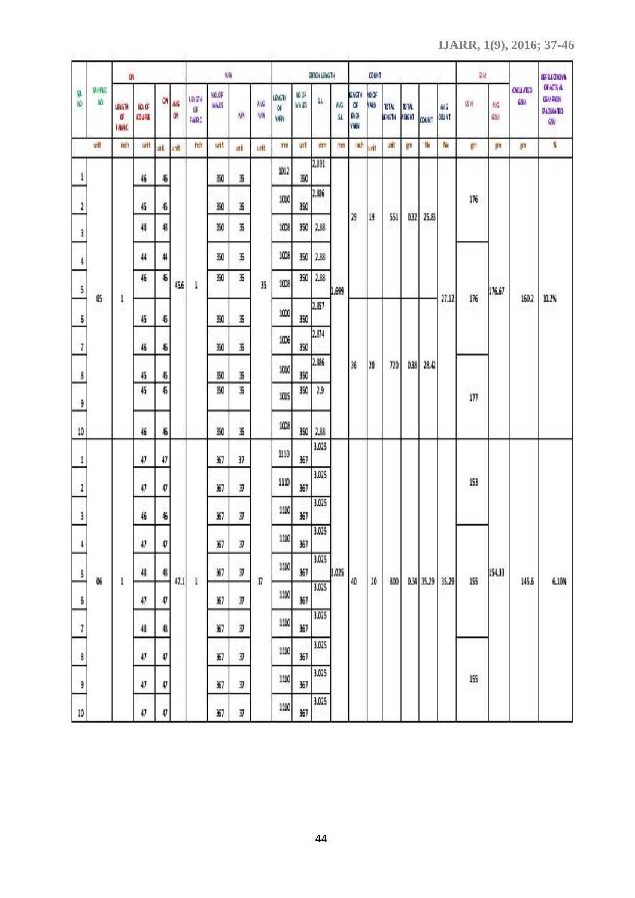**IJARR, 1(9), 2016; 37-46**

|         |              | Ü,                   |                  |      |                 |                        | WPI            |    |            |                             |                | STITCH LENGTH |           |                                   | <b>COUNT</b> |                        |                       |              |             | űИ   |                |                        | <b>MERICIONS</b>                                   |
|---------|--------------|----------------------|------------------|------|-----------------|------------------------|----------------|----|------------|-----------------------------|----------------|---------------|-----------|-----------------------------------|--------------|------------------------|-----------------------|--------------|-------------|------|----------------|------------------------|----------------------------------------------------|
| 隳<br>١Ō | SANPLE<br>١O | LOIGH<br>σ<br>FAGGIC | NO. OF<br>COURSE | űΝ   | МG<br><b>GN</b> | LDIGTH<br>ūF<br>FAGGIC | NO.OF<br>WALES | WR | AVG.<br>WP | LDIGTH<br>òF<br><b>YARN</b> | NO OF<br>WALES | $\Omega$      | NG<br>ší. | <b>LINGTH</b><br>a<br>64.04<br>Wh | 10.06<br>W   | <b>TOTAL</b><br>LENGTH | 101/4<br><b>THERE</b> | <b>COUNT</b> | WG<br>COUNT | GW   | NG<br>69/      | <b>CAOLATED</b><br>69/ | OF ACTUAL<br><b>GMROM</b><br><b>GLOJLATO</b><br>GW |
|         | unt          | nch                  | unt              | unit | unk             | indh                   | unit           | иř | unit       | m                           | <b>UTR</b>     | mm            | mm        | mch                               | unk          | unt                    | (FT)                  | W            | Ne          | ijπ  | WΠ             | mπ                     | N                                                  |
| 1       |              |                      | 46               | 46   |                 |                        | 350            | B  |            | 1012                        | 30             | 2.891         |           |                                   |              |                        |                       |              |             |      |                |                        |                                                    |
| 2       |              |                      | 45               | 45   |                 |                        | 350            | B  |            | 1010                        | 350            | 2.886         |           |                                   |              |                        |                       |              |             | 176  |                |                        |                                                    |
| 3       |              |                      | 48               | 48   |                 |                        | 350            | Ł  |            | 10%                         | 350            | 2.88          |           | 29                                | 19           | 551                    | 0.32                  | 25.83        |             |      |                |                        |                                                    |
| 4       |              |                      | 44               | 44   |                 |                        | 30             | 35 |            | 1008                        | 350            | 1.88          |           |                                   |              |                        |                       |              |             |      |                |                        |                                                    |
| 5       |              |                      | 46               | 46   | 456             | 1                      | 30             | K  | 35         | 1008                        | 350            | 2.88          | 2.699     |                                   |              |                        |                       |              |             |      | 176.67         |                        |                                                    |
| 6       | OS           | 1                    | 45               | 45   |                 |                        | 350            | B  |            | 1000                        | 350            | 2.857         |           |                                   |              |                        |                       |              | 27.12       | 176  |                | 160.2                  | 10.2%                                              |
| 7       |              |                      | 46               | 46   |                 |                        | 350            | B  |            | 1006                        | 350            | 2.874         |           |                                   |              |                        |                       |              |             |      |                |                        |                                                    |
| 8       |              |                      | 45               | 45   |                 |                        | 350            | 35 |            | 1010                        | 350            | 2.886         |           | 36                                | 20           | 720                    | 0.38                  | 28.42        |             |      |                |                        |                                                    |
| 9       |              |                      | 45               | 45   |                 |                        | 350            | B  |            | 1015                        | 350            | 2.9           |           |                                   |              |                        |                       |              |             | 177  |                |                        |                                                    |
| 10      |              |                      | 46               | 46   |                 |                        | 350            | B  |            | 1008                        | 350            | 2.88          |           |                                   |              |                        |                       |              |             |      |                |                        |                                                    |
| 1       |              |                      | 47               | 47   |                 |                        | 357            | 37 |            | 1110                        | 367            | 3.025         |           |                                   |              |                        |                       |              |             |      |                |                        |                                                    |
| 2       |              |                      | 47               | 47   |                 |                        | 357            | 37 |            | 1110                        | 367            | 3.025         |           |                                   |              |                        |                       |              |             | 153  |                |                        |                                                    |
| 3       |              |                      | 46               | 46   |                 |                        | 357            | 37 |            | 1110                        | 367            | 3.025         |           |                                   |              |                        |                       |              |             |      |                |                        |                                                    |
|         |              |                      |                  |      |                 |                        | 357            |    |            | $1110\,$                    |                | 3.025         |           |                                   |              |                        |                       |              |             |      |                |                        |                                                    |
| 4       |              |                      | 47               | 47   |                 |                        |                | 37 |            | 1110                        | 367            | 3.025         |           |                                   |              |                        |                       |              |             |      |                |                        |                                                    |
| 5       | 06           | 1                    | $48$             | 48   | 47.1            | 1                      | 357            | IJ | 37         | 1110                        | 367            | 3.025         | 3.025     | $40$                              | $20\,$       | 800                    |                       | 0.34 35.29   | 35.29       | 155  | 154.33<br>8567 | 145.6                  | 6.10%                                              |
| 6       |              |                      | 47               | 47   |                 |                        | 357            | 37 |            | 1110                        | 367            | 3.025         |           |                                   |              |                        |                       |              |             |      |                |                        |                                                    |
| 7       |              |                      | 48               | 48   |                 |                        | 357            | 37 |            | 1110                        | 367            | 3.025         |           |                                   |              |                        |                       |              |             |      |                |                        |                                                    |
| 8       |              |                      | 47               | 47   |                 |                        | 357            | 37 |            | 1110                        | 367            | 3,025         |           |                                   |              |                        |                       |              |             | 155  |                |                        |                                                    |
| 9       |              |                      | 47               | 47   |                 |                        | 357            | 37 |            |                             | 367            | 3.025         |           |                                   |              |                        |                       |              |             | 16M) |                |                        |                                                    |
| $10\,$  |              |                      | 47               | 47   |                 |                        | 357            | 37 |            | 1110                        | 367            |               |           |                                   |              |                        |                       |              |             |      |                |                        |                                                    |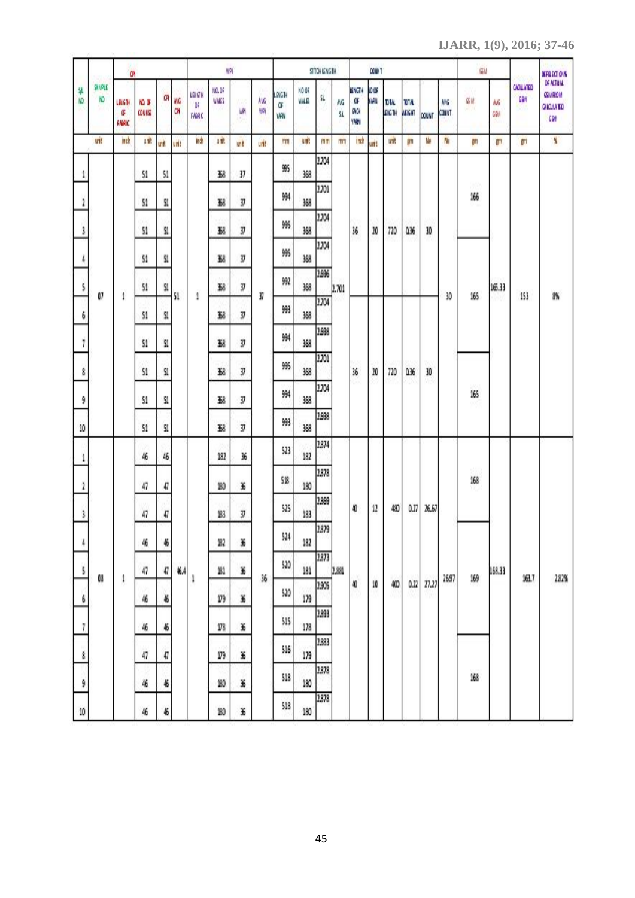**IJARR, 1(9), 2016; 37-46**

|                         |                    | ŒЙ                    |                  |           |         |                               | WP             |      |           |                    |                | STITCH LENGTH |           |                        | <b>COUNT</b> |                        |                       |       |                    | ŒΜ         |           |                               | <b>SEECOLS</b>                                      |
|-------------------------|--------------------|-----------------------|------------------|-----------|---------|-------------------------------|----------------|------|-----------|--------------------|----------------|---------------|-----------|------------------------|--------------|------------------------|-----------------------|-------|--------------------|------------|-----------|-------------------------------|-----------------------------------------------------|
| ä<br>KO.                | <b>SAMAS</b><br>N٥ | 191614<br>ű<br>FAGGIC | YO. OF<br>COURSE | <b>CA</b> | NG<br>œ | <b>LENGTH</b><br>۵F<br>FAGRIC | 10.06<br>WALES | WPI  | ٨VG<br>WP | LRIGH<br>œ<br>YARN | NO OF<br>WALES | st            | МG<br>SI. | መለኔ<br>Œ<br>GАOН<br>Wh | VO OF<br>WW  | <b>10TAL</b><br>LENGTH | DTA.<br><b>ARIGHT</b> | COUNT | WG<br><b>COUNT</b> | GW<br>WING | МG<br>69/ | <b>CAOLATED</b><br><b>GSM</b> | OF ACTUAL<br><b>GMRON</b><br><b>GIOJIATO</b><br>621 |
|                         | unit               | mch                   | unit             | unit      | unit    | indh                          | unt            | unit | unt       | m                  | unt            | mm            | mm        | inch                   | unit         | unt.                   | lητ                   | N     | N                  | ijΠ        | lβTI      | <b>IDTI</b>                   | ¥                                                   |
| 1                       |                    |                       | 51               | 51        |         |                               | 虦              | 37   |           | 95                 | 368            | 2.704         |           |                        |              |                        |                       |       |                    |            |           |                               |                                                     |
| $\overline{\mathbf{r}}$ |                    |                       | 51               | 51        |         |                               | X8             | IJ   |           | 994                | 368            | 2.701         |           |                        |              |                        |                       |       |                    | 80<br>166  |           |                               |                                                     |
| 3                       |                    |                       | 51               | \$1       |         |                               | K8             | 37   |           | 995                | 368            | 2.704         |           | 36                     | 20           | 720                    | 036                   | 30    |                    |            |           |                               |                                                     |
| $\overline{A}$          |                    |                       | 51               | 51        |         |                               | K8             | IJ   |           | 995                | 368            | 2.704         |           |                        |              |                        |                       |       |                    |            |           |                               |                                                     |
| 5                       |                    |                       | 51               | SI        |         |                               | X8             | 37   |           | 992                | 368            | 2,696         | 2.701     |                        |              |                        |                       |       |                    |            | 165.33    |                               |                                                     |
| 6                       | 07                 | 1                     | 51               | 51        | 51      | 1                             | X8             | 37   | 37        | 993                | 368            | 2.704         |           |                        |              |                        |                       |       | 30                 | 165        |           | 153                           | 8%                                                  |
| 7                       |                    |                       | 51               | 51        |         |                               | 358            | Y    |           | 994                | 368            | 2,698         |           |                        |              |                        |                       |       |                    |            |           |                               |                                                     |
| 8                       |                    |                       | 51               | SI        |         |                               | K8             | ŋ    |           | 995                | 368            | 2.701         |           | 36                     | 20           | 720                    | 036                   | 30    |                    |            |           |                               |                                                     |
| 9                       |                    |                       | 51               | 51        |         |                               | 繇              | 37   |           | 994                | 368            | 2.704         |           |                        |              |                        |                       |       |                    | 165        |           |                               |                                                     |
| $10\,$                  |                    |                       | 51               | 51        |         |                               | X8             | IJ   |           | 993                | 368            | 2,698         |           |                        |              |                        |                       |       |                    |            |           |                               |                                                     |
| 1                       |                    |                       | 46               | 46        |         |                               | 182            | 36   |           | 523                | 182            | 2874          |           |                        |              |                        |                       |       |                    |            |           |                               |                                                     |
| $\overline{\mathbf{r}}$ |                    |                       | 47               | 47        |         |                               | 180            | K    |           | 518                | 180            | 2878          |           |                        |              |                        |                       |       |                    | 168        |           |                               |                                                     |
| 3                       |                    |                       | 47               | 47        |         |                               | 183            | IJ   |           | 525                | 183            | 2.869         |           | 40                     | 12           | 480                    | 0.27                  | 26,67 |                    |            |           |                               |                                                     |
| 4                       |                    |                       | 46               | 46        |         |                               | 182            | K    |           | 524                | 182            | 2879          |           |                        |              |                        |                       |       |                    |            |           |                               |                                                     |
| 5                       |                    |                       | 47               | 47        | 46.4    |                               | 21             | K    |           | 520                | 181            | 2.873         | 2.881     |                        |              |                        |                       |       |                    |            | 168.33    |                               |                                                     |
| 6                       | 08                 | 1                     | 46               | 46        |         | 1                             | 179            | K    | 36        | 520                | 179            | 2905          |           | 40                     | $10\,$       | 400<br>90              | 0.22                  | 27.27 | 26.97              | 169        |           | 161,7                         | 282%                                                |
| 7                       |                    |                       | 46               | 46        |         |                               | 178            | K    |           | 515                | 178            | 2893          |           |                        |              |                        |                       |       |                    |            |           |                               |                                                     |
| 8                       |                    |                       | 47               | 47        |         |                               | 179            | K    |           | 516                | 179            | 2883          |           |                        |              |                        |                       |       |                    |            |           |                               |                                                     |
| 9                       |                    |                       | 46               | 46        |         |                               | 180            | K    |           | 518                | 180            | 2878          |           |                        |              |                        |                       |       |                    | 168        |           |                               |                                                     |
| $10\,$                  |                    |                       | 46               | 46        |         |                               | 180            | K    |           | 518                | 180            | 2878          |           |                        |              |                        |                       |       |                    |            |           |                               |                                                     |